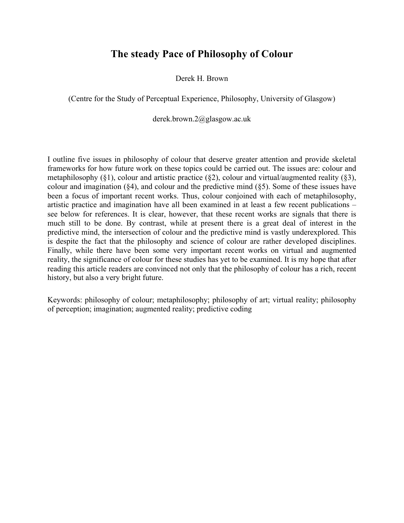# **The steady Pace of Philosophy of Colour**

Derek H. Brown

(Centre for the Study of Perceptual Experience, Philosophy, University of Glasgow)

derek.brown.2@glasgow.ac.uk

I outline five issues in philosophy of colour that deserve greater attention and provide skeletal frameworks for how future work on these topics could be carried out. The issues are: colour and metaphilosophy (§1), colour and artistic practice (§2), colour and virtual/augmented reality (§3), colour and imagination (§4), and colour and the predictive mind (§5). Some of these issues have been a focus of important recent works. Thus, colour conjoined with each of metaphilosophy, artistic practice and imagination have all been examined in at least a few recent publications – see below for references. It is clear, however, that these recent works are signals that there is much still to be done. By contrast, while at present there is a great deal of interest in the predictive mind, the intersection of colour and the predictive mind is vastly underexplored. This is despite the fact that the philosophy and science of colour are rather developed disciplines. Finally, while there have been some very important recent works on virtual and augmented reality, the significance of colour for these studies has yet to be examined. It is my hope that after reading this article readers are convinced not only that the philosophy of colour has a rich, recent history, but also a very bright future.

Keywords: philosophy of colour; metaphilosophy; philosophy of art; virtual reality; philosophy of perception; imagination; augmented reality; predictive coding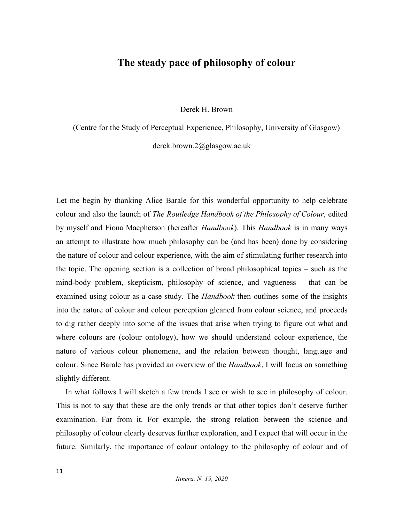# **The steady pace of philosophy of colour**

Derek H. Brown

(Centre for the Study of Perceptual Experience, Philosophy, University of Glasgow)

derek.brown.2@glasgow.ac.uk

Let me begin by thanking Alice Barale for this wonderful opportunity to help celebrate colour and also the launch of *The Routledge Handbook of the Philosophy of Colour*, edited by myself and Fiona Macpherson (hereafter *Handbook*). This *Handbook* is in many ways an attempt to illustrate how much philosophy can be (and has been) done by considering the nature of colour and colour experience, with the aim of stimulating further research into the topic. The opening section is a collection of broad philosophical topics – such as the mind-body problem, skepticism, philosophy of science, and vagueness – that can be examined using colour as a case study. The *Handbook* then outlines some of the insights into the nature of colour and colour perception gleaned from colour science, and proceeds to dig rather deeply into some of the issues that arise when trying to figure out what and where colours are (colour ontology), how we should understand colour experience, the nature of various colour phenomena, and the relation between thought, language and colour. Since Barale has provided an overview of the *Handbook*, I will focus on something slightly different.

In what follows I will sketch a few trends I see or wish to see in philosophy of colour. This is not to say that these are the only trends or that other topics don't deserve further examination. Far from it. For example, the strong relation between the science and philosophy of colour clearly deserves further exploration, and I expect that will occur in the future. Similarly, the importance of colour ontology to the philosophy of colour and of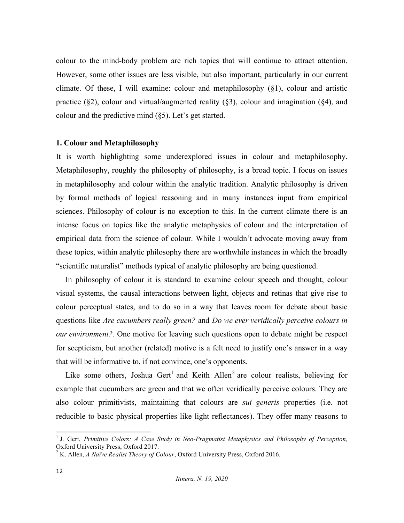colour to the mind-body problem are rich topics that will continue to attract attention. However, some other issues are less visible, but also important, particularly in our current climate. Of these, I will examine: colour and metaphilosophy (§1), colour and artistic practice (§2), colour and virtual/augmented reality (§3), colour and imagination (§4), and colour and the predictive mind (§5). Let's get started.

### **1. Colour and Metaphilosophy**

It is worth highlighting some underexplored issues in colour and metaphilosophy. Metaphilosophy, roughly the philosophy of philosophy, is a broad topic. I focus on issues in metaphilosophy and colour within the analytic tradition. Analytic philosophy is driven by formal methods of logical reasoning and in many instances input from empirical sciences. Philosophy of colour is no exception to this. In the current climate there is an intense focus on topics like the analytic metaphysics of colour and the interpretation of empirical data from the science of colour. While I wouldn't advocate moving away from these topics, within analytic philosophy there are worthwhile instances in which the broadly "scientific naturalist" methods typical of analytic philosophy are being questioned.

In philosophy of colour it is standard to examine colour speech and thought, colour visual systems, the causal interactions between light, objects and retinas that give rise to colour perceptual states, and to do so in a way that leaves room for debate about basic questions like *Are cucumbers really green?* and *Do we ever veridically perceive colours in our environment?.* One motive for leaving such questions open to debate might be respect for scepticism, but another (related) motive is a felt need to justify one's answer in a way that will be informative to, if not convince, one's opponents.

Like some others, Joshua Gert<sup>1</sup> and Keith Allen<sup>2</sup> are colour realists, believing for example that cucumbers are green and that we often veridically perceive colours. They are also colour primitivists, maintaining that colours are *sui generis* properties (i.e. not reducible to basic physical properties like light reflectances). They offer many reasons to

<sup>&</sup>lt;sup>1</sup> J. Gert, *Primitive Colors: A Case Study in Neo-Pragmatist Metaphysics and Philosophy of Perception,* Oxford University Press, Oxford 2017.

<sup>2</sup> K. Allen, *A Naïve Realist Theory of Colour*, Oxford University Press, Oxford 2016.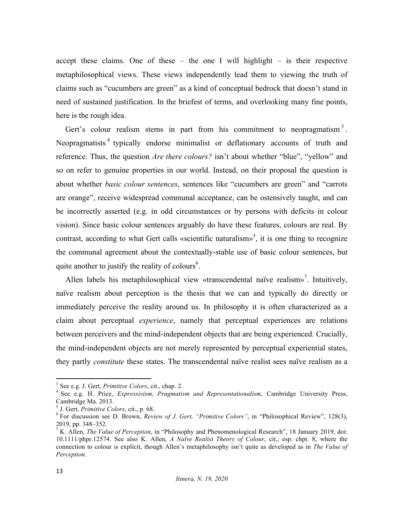accept these claims. One of these – the one I will highlight – is their respective metaphilosophical views. These views independently lead them to viewing the truth of claims such as "cucumbers are green" as a kind of conceptual bedrock that doesn't stand in need of sustained justification. In the briefest of terms, and overlooking many fine points, here is the rough idea.

Gert's colour realism stems in part from his commitment to neopragmatism<sup>3</sup>. Neopragmatists<sup>4</sup> typically endorse minimalist or deflationary accounts of truth and reference. Thus, the question *Are there colours?* isn't about whether "blue", "yellow" and so on refer to genuine properties in our world. Instead, on their proposal the question is about whether *basic colour sentences*, sentences like "cucumbers are green" and "carrots are orange", receive widespread communal acceptance, can be ostensively taught, and can be incorrectly asserted (e.g. in odd circumstances or by persons with deficits in colour vision). Since basic colour sentences arguably do have these features, colours are real. By contrast, according to what Gert calls «scientific naturalism»<sup>5</sup>, it is one thing to recognize the communal agreement about the contextually-stable use of basic colour sentences, but quite another to justify the reality of colours<sup>6</sup>.

Allen labels his metaphilosophical view «transcendental naïve realism»<sup>7</sup>. Intuitively, naïve realism about perception is the thesis that we can and typically do directly or immediately perceive the reality around us. In philosophy it is often characterized as a claim about perceptual *experience*, namely that perceptual experiences are relations between perceivers and the mind-independent objects that are being experienced. Crucially, the mind-independent objects are not merely represented by perceptual experiential states, they partly *constitute* these states. The transcendental naïve realist sees naïve realism as a

 

<sup>&</sup>lt;sup>3</sup> See e.g. J. Gert, *Primitive Colors*, cit., chap. 2.<br><sup>4</sup> See e.g. H. Price, *Expressivism, Pragmatism and Representationalism*, Cambridge University Press, Cambridge Ma. 2013.

<sup>&</sup>lt;sup>5</sup> J. Gert, *Primitive Colors*, cit., p. 68.<br><sup>6</sup> For discussion see D. Brown, *Review of J. Gert, "Primitive Colors"*, in "Philosophical Review", 128(3), 2019, pp. 348–352. 7 K. Allen, *The Value of Perception*, in "Philosophy and Phenomenological Research", 18 January 2019, doi:

<sup>10.1111/</sup>phpr.12574. See also K. Allen, *A Naïve Realist Theory of Colour*, cit., esp. chpt. 8, where the connection to colour is explicit, though Allen's metaphilosophy isn't quite as developed as in *The Value of Perception*.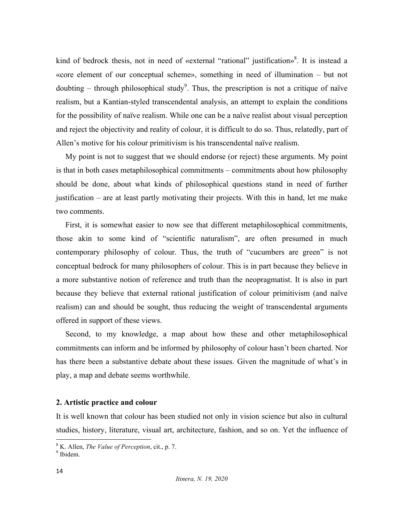kind of bedrock thesis, not in need of «external "rational" justification»<sup>8</sup>. It is instead a «core element of our conceptual scheme», something in need of illumination – but not doubting – through philosophical study<sup>9</sup>. Thus, the prescription is not a critique of naïve realism, but a Kantian-styled transcendental analysis, an attempt to explain the conditions for the possibility of naïve realism. While one can be a naïve realist about visual perception and reject the objectivity and reality of colour, it is difficult to do so. Thus, relatedly, part of Allen's motive for his colour primitivism is his transcendental naïve realism.

My point is not to suggest that we should endorse (or reject) these arguments. My point is that in both cases metaphilosophical commitments – commitments about how philosophy should be done, about what kinds of philosophical questions stand in need of further justification – are at least partly motivating their projects. With this in hand, let me make two comments.

First, it is somewhat easier to now see that different metaphilosophical commitments, those akin to some kind of "scientific naturalism", are often presumed in much contemporary philosophy of colour. Thus, the truth of "cucumbers are green" is not conceptual bedrock for many philosophers of colour. This is in part because they believe in a more substantive notion of reference and truth than the neopragmatist. It is also in part because they believe that external rational justification of colour primitivism (and naïve realism) can and should be sought, thus reducing the weight of transcendental arguments offered in support of these views.

Second, to my knowledge, a map about how these and other metaphilosophical commitments can inform and be informed by philosophy of colour hasn't been charted. Nor has there been a substantive debate about these issues. Given the magnitude of what's in play, a map and debate seems worthwhile.

### **2. Artistic practice and colour**

It is well known that colour has been studied not only in vision science but also in cultural studies, history, literature, visual art, architecture, fashion, and so on. Yet the influence of

 $8$  K. Allen, *The Value of Perception*, cit., p. 7. 9 Ibidem.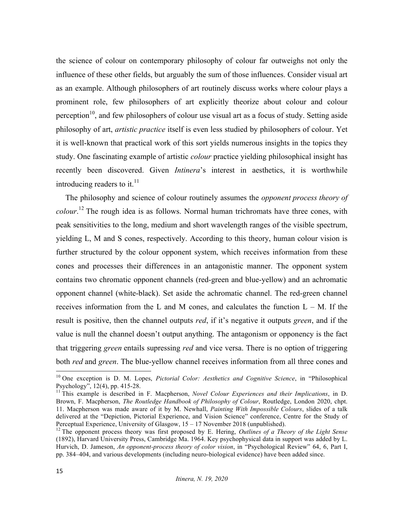the science of colour on contemporary philosophy of colour far outweighs not only the influence of these other fields, but arguably the sum of those influences. Consider visual art as an example. Although philosophers of art routinely discuss works where colour plays a prominent role, few philosophers of art explicitly theorize about colour and colour perception<sup>10</sup>, and few philosophers of colour use visual art as a focus of study. Setting aside philosophy of art, *artistic practice* itself is even less studied by philosophers of colour. Yet it is well-known that practical work of this sort yields numerous insights in the topics they study. One fascinating example of artistic *colour* practice yielding philosophical insight has recently been discovered. Given *Intinera*'s interest in aesthetics, it is worthwhile introducing readers to it. $^{11}$ 

The philosophy and science of colour routinely assumes the *opponent process theory of colour*. <sup>12</sup> The rough idea is as follows. Normal human trichromats have three cones, with peak sensitivities to the long, medium and short wavelength ranges of the visible spectrum, yielding L, M and S cones, respectively. According to this theory, human colour vision is further structured by the colour opponent system, which receives information from these cones and processes their differences in an antagonistic manner. The opponent system contains two chromatic opponent channels (red-green and blue-yellow) and an achromatic opponent channel (white-black). Set aside the achromatic channel. The red-green channel receives information from the L and M cones, and calculates the function  $L - M$ . If the result is positive, then the channel outputs *red*, if it's negative it outputs *green*, and if the value is null the channel doesn't output anything. The antagonism or opponency is the fact that triggering *green* entails supressing *red* and vice versa. There is no option of triggering both *red* and *green*. The blue-yellow channel receives information from all three cones and

<sup>&</sup>lt;sup>10</sup> One exception is D. M. Lopes, *Pictorial Color: Aesthetics and Cognitive Science*, in "Philosophical Psychology", 12(4), pp. 415-28.

<sup>&</sup>lt;sup>11</sup> This example is described in F. Macpherson, *Novel Colour Experiences and their Implications*, in D. Brown, F. Macpherson, *The Routledge Handbook of Philosophy of Colour*, Routledge, London 2020, chpt. 11. Macpherson was made aware of it by M. Newhall, *Painting With Impossible Colours*, slides of a talk delivered at the "Depiction, Pictorial Experience, and Vision Science" conference, Centre for the Study of Perceptual Experience, University of Glasgow, 15 – 17 November 2018 (unpublished). <sup>12</sup> The opponent process theory was first proposed by E. Hering, *Outlines of a Theory of the Light Sense*

<sup>(1892),</sup> Harvard University Press, Cambridge Ma. 1964. Key psychophysical data in support was added by L. Hurvich, D. Jameson, *An opponent-process theory of color vision*, in "Psychological Review" 64, 6, Part I, pp. 384–404, and various developments (including neuro-biological evidence) have been added since.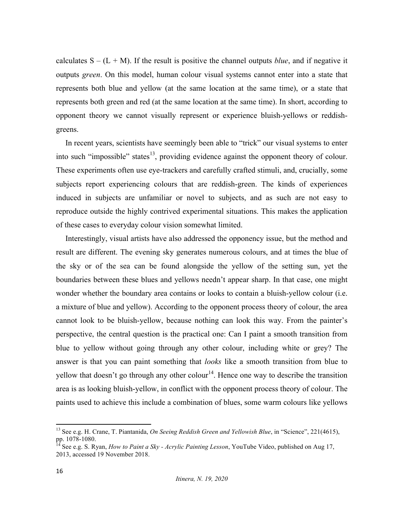calculates  $S - (L + M)$ . If the result is positive the channel outputs *blue*, and if negative it outputs *green*. On this model, human colour visual systems cannot enter into a state that represents both blue and yellow (at the same location at the same time), or a state that represents both green and red (at the same location at the same time). In short, according to opponent theory we cannot visually represent or experience bluish-yellows or reddishgreens.

In recent years, scientists have seemingly been able to "trick" our visual systems to enter into such "impossible" states $\frac{13}{2}$ , providing evidence against the opponent theory of colour. These experiments often use eye-trackers and carefully crafted stimuli, and, crucially, some subjects report experiencing colours that are reddish-green. The kinds of experiences induced in subjects are unfamiliar or novel to subjects, and as such are not easy to reproduce outside the highly contrived experimental situations. This makes the application of these cases to everyday colour vision somewhat limited.

Interestingly, visual artists have also addressed the opponency issue, but the method and result are different. The evening sky generates numerous colours, and at times the blue of the sky or of the sea can be found alongside the yellow of the setting sun, yet the boundaries between these blues and yellows needn't appear sharp. In that case, one might wonder whether the boundary area contains or looks to contain a bluish-yellow colour (i.e. a mixture of blue and yellow). According to the opponent process theory of colour, the area cannot look to be bluish-yellow, because nothing can look this way. From the painter's perspective, the central question is the practical one: Can I paint a smooth transition from blue to yellow without going through any other colour, including white or grey? The answer is that you can paint something that *looks* like a smooth transition from blue to yellow that doesn't go through any other colour<sup>14</sup>. Hence one way to describe the transition area is as looking bluish-yellow, in conflict with the opponent process theory of colour. The paints used to achieve this include a combination of blues, some warm colours like yellows

<sup>&</sup>lt;sup>13</sup> See e.g. H. Crane, T. Piantanida, *On Seeing Reddish Green and Yellowish Blue*, in "Science", 221(4615), pp. 1078-1080.

pp. 1078-1080. <sup>14</sup> See e.g. S. Ryan, *How to Paint a Sky - Acrylic Painting Lesson*, YouTube Video, published on Aug 17, 2013, accessed 19 November 2018.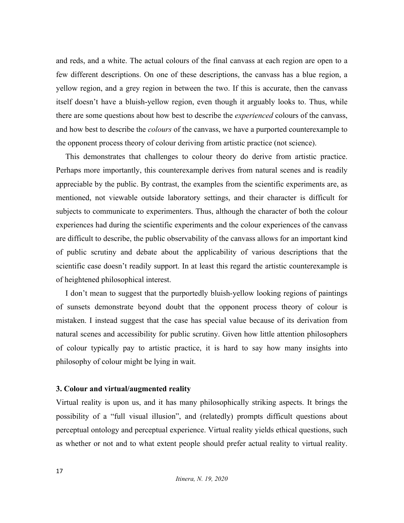and reds, and a white. The actual colours of the final canvass at each region are open to a few different descriptions. On one of these descriptions, the canvass has a blue region, a yellow region, and a grey region in between the two. If this is accurate, then the canvass itself doesn't have a bluish-yellow region, even though it arguably looks to. Thus, while there are some questions about how best to describe the *experienced* colours of the canvass, and how best to describe the *colours* of the canvass, we have a purported counterexample to the opponent process theory of colour deriving from artistic practice (not science).

This demonstrates that challenges to colour theory do derive from artistic practice. Perhaps more importantly, this counterexample derives from natural scenes and is readily appreciable by the public. By contrast, the examples from the scientific experiments are, as mentioned, not viewable outside laboratory settings, and their character is difficult for subjects to communicate to experimenters. Thus, although the character of both the colour experiences had during the scientific experiments and the colour experiences of the canvass are difficult to describe, the public observability of the canvass allows for an important kind of public scrutiny and debate about the applicability of various descriptions that the scientific case doesn't readily support. In at least this regard the artistic counterexample is of heightened philosophical interest.

I don't mean to suggest that the purportedly bluish-yellow looking regions of paintings of sunsets demonstrate beyond doubt that the opponent process theory of colour is mistaken. I instead suggest that the case has special value because of its derivation from natural scenes and accessibility for public scrutiny. Given how little attention philosophers of colour typically pay to artistic practice, it is hard to say how many insights into philosophy of colour might be lying in wait.

#### **3. Colour and virtual/augmented reality**

Virtual reality is upon us, and it has many philosophically striking aspects. It brings the possibility of a "full visual illusion", and (relatedly) prompts difficult questions about perceptual ontology and perceptual experience. Virtual reality yields ethical questions, such as whether or not and to what extent people should prefer actual reality to virtual reality.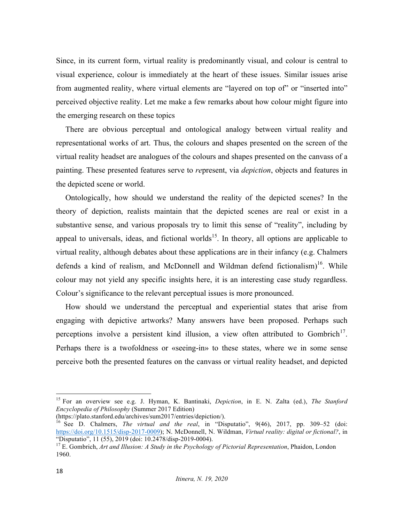Since, in its current form, virtual reality is predominantly visual, and colour is central to visual experience, colour is immediately at the heart of these issues. Similar issues arise from augmented reality, where virtual elements are "layered on top of" or "inserted into" perceived objective reality. Let me make a few remarks about how colour might figure into the emerging research on these topics

There are obvious perceptual and ontological analogy between virtual reality and representational works of art. Thus, the colours and shapes presented on the screen of the virtual reality headset are analogues of the colours and shapes presented on the canvass of a painting. These presented features serve to *re*present, via *depiction*, objects and features in the depicted scene or world.

Ontologically, how should we understand the reality of the depicted scenes? In the theory of depiction, realists maintain that the depicted scenes are real or exist in a substantive sense, and various proposals try to limit this sense of "reality", including by appeal to universals, ideas, and fictional worlds<sup>15</sup>. In theory, all options are applicable to virtual reality, although debates about these applications are in their infancy (e.g. Chalmers defends a kind of realism, and McDonnell and Wildman defend fictionalism)<sup>16</sup>. While colour may not yield any specific insights here, it is an interesting case study regardless. Colour's significance to the relevant perceptual issues is more pronounced.

How should we understand the perceptual and experiential states that arise from engaging with depictive artworks? Many answers have been proposed. Perhaps such perceptions involve a persistent kind illusion, a view often attributed to Gombrich<sup>17</sup>. Perhaps there is a twofoldness or «seeing-in» to these states, where we in some sense perceive both the presented features on the canvass or virtual reality headset, and depicted

 

<sup>15</sup> For an overview see e.g. J. Hyman, K. Bantinaki, *Depiction*, in E. N. Zalta (ed.), *The Stanford Encyclopedia of Philosophy* (Summer 2017 Edition) (https://plato.stanford.edu/archives/sum2017/entries/depiction/).

<sup>16</sup> See D. Chalmers, *The virtual and the real*, in "Disputatio", 9(46), 2017, pp. 309–52 (doi: https://doi.org/10.1515/disp-2017-0009); N. McDonnell, N. Wildman, *Virtual reality: digital or fictional?*, in

<sup>&</sup>lt;sup>17</sup> E. Gombrich, Art and Illusion: A Study in the Psychology of Pictorial Representation, Phaidon, London 1960.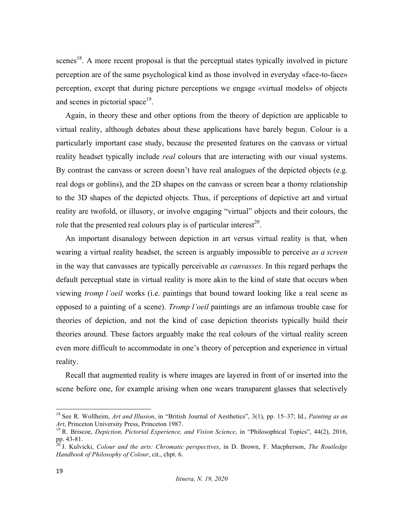scenes<sup>18</sup>. A more recent proposal is that the perceptual states typically involved in picture perception are of the same psychological kind as those involved in everyday «face-to-face» perception, except that during picture perceptions we engage «virtual models» of objects and scenes in pictorial space<sup>19</sup>.

Again, in theory these and other options from the theory of depiction are applicable to virtual reality, although debates about these applications have barely begun. Colour is a particularly important case study, because the presented features on the canvass or virtual reality headset typically include *real* colours that are interacting with our visual systems. By contrast the canvass or screen doesn't have real analogues of the depicted objects (e.g. real dogs or goblins), and the 2D shapes on the canvass or screen bear a thorny relationship to the 3D shapes of the depicted objects. Thus, if perceptions of depictive art and virtual reality are twofold, or illusory, or involve engaging "virtual" objects and their colours, the role that the presented real colours play is of particular interest<sup>20</sup>.

An important disanalogy between depiction in art versus virtual reality is that, when wearing a virtual reality headset, the screen is arguably impossible to perceive *as a screen* in the way that canvasses are typically perceivable *as canvasses*. In this regard perhaps the default perceptual state in virtual reality is more akin to the kind of state that occurs when viewing *tromp l'oeil* works (i.e. paintings that bound toward looking like a real scene as opposed to a painting of a scene). *Tromp l'oeil* paintings are an infamous trouble case for theories of depiction, and not the kind of case depiction theorists typically build their theories around. These factors arguably make the real colours of the virtual reality screen even more difficult to accommodate in one's theory of perception and experience in virtual reality.

Recall that augmented reality is where images are layered in front of or inserted into the scene before one, for example arising when one wears transparent glasses that selectively

<sup>&</sup>lt;sup>18</sup> See R. Wollheim, *Art and Illusion*, in "British Journal of Aesthetics", 3(1), pp. 15–37; Id., *Painting as an Art*, Princeton University Press, Princeton 1987.

<sup>&</sup>lt;sup>19</sup> R. Briscoe, *Depiction, Pictorial Experience, and Vision Science*, in "Philosophical Topics", 44(2), 2016, pp. 43-81.

pp. 43-81. <sup>20</sup> J. Kulvicki, *Colour and the arts: Chromatic perspectives*, in D. Brown, F. Macpherson, *The Routledge Handbook of Philosophy of Colour*, cit., chpt. 6.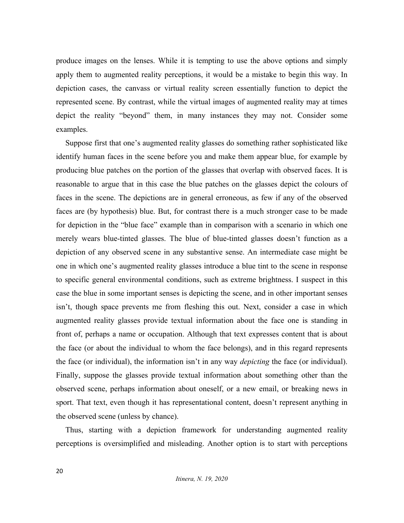produce images on the lenses. While it is tempting to use the above options and simply apply them to augmented reality perceptions, it would be a mistake to begin this way. In depiction cases, the canvass or virtual reality screen essentially function to depict the represented scene. By contrast, while the virtual images of augmented reality may at times depict the reality "beyond" them, in many instances they may not. Consider some examples.

Suppose first that one's augmented reality glasses do something rather sophisticated like identify human faces in the scene before you and make them appear blue, for example by producing blue patches on the portion of the glasses that overlap with observed faces. It is reasonable to argue that in this case the blue patches on the glasses depict the colours of faces in the scene. The depictions are in general erroneous, as few if any of the observed faces are (by hypothesis) blue. But, for contrast there is a much stronger case to be made for depiction in the "blue face" example than in comparison with a scenario in which one merely wears blue-tinted glasses. The blue of blue-tinted glasses doesn't function as a depiction of any observed scene in any substantive sense. An intermediate case might be one in which one's augmented reality glasses introduce a blue tint to the scene in response to specific general environmental conditions, such as extreme brightness. I suspect in this case the blue in some important senses is depicting the scene, and in other important senses isn't, though space prevents me from fleshing this out. Next, consider a case in which augmented reality glasses provide textual information about the face one is standing in front of, perhaps a name or occupation. Although that text expresses content that is about the face (or about the individual to whom the face belongs), and in this regard represents the face (or individual), the information isn't in any way *depicting* the face (or individual). Finally, suppose the glasses provide textual information about something other than the observed scene, perhaps information about oneself, or a new email, or breaking news in sport. That text, even though it has representational content, doesn't represent anything in the observed scene (unless by chance).

Thus, starting with a depiction framework for understanding augmented reality perceptions is oversimplified and misleading. Another option is to start with perceptions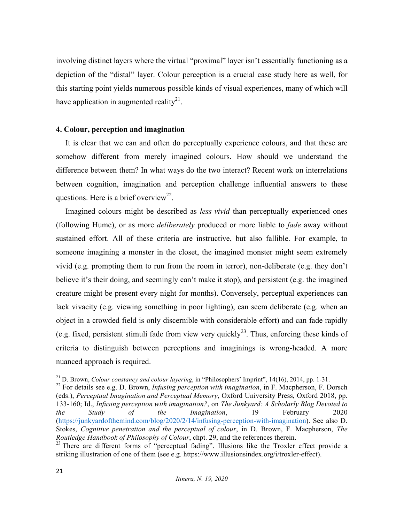involving distinct layers where the virtual "proximal" layer isn't essentially functioning as a depiction of the "distal" layer. Colour perception is a crucial case study here as well, for this starting point yields numerous possible kinds of visual experiences, many of which will have application in augmented reality<sup>21</sup>.

#### **4. Colour, perception and imagination**

It is clear that we can and often do perceptually experience colours, and that these are somehow different from merely imagined colours. How should we understand the difference between them? In what ways do the two interact? Recent work on interrelations between cognition, imagination and perception challenge influential answers to these questions. Here is a brief overview<sup>22</sup>.

Imagined colours might be described as *less vivid* than perceptually experienced ones (following Hume), or as more *deliberately* produced or more liable to *fade* away without sustained effort. All of these criteria are instructive, but also fallible. For example, to someone imagining a monster in the closet, the imagined monster might seem extremely vivid (e.g. prompting them to run from the room in terror), non-deliberate (e.g. they don't believe it's their doing, and seemingly can't make it stop), and persistent (e.g. the imagined creature might be present every night for months). Conversely, perceptual experiences can lack vivacity (e.g. viewing something in poor lighting), can seem deliberate (e.g. when an object in a crowded field is only discernible with considerable effort) and can fade rapidly (e.g. fixed, persistent stimuli fade from view very quickly<sup>23</sup>. Thus, enforcing these kinds of criteria to distinguish between perceptions and imaginings is wrong-headed. A more nuanced approach is required.

 

<sup>21</sup> D. Brown, *Colour constancy and colour layering*, in "Philosophers' Imprint", 14(16), 2014, pp. 1-31.

<sup>22</sup> For details see e.g. D. Brown, *Infusing perception with imagination*, in F. Macpherson, F. Dorsch (eds.), *Perceptual Imagination and Perceptual Memory*, Oxford University Press, Oxford 2018, pp. 133-160; Id., *Infusing perception with imagination?*, on *The Junkyard: A Scholarly Blog Devoted to the Study of the Imagination*, 19 February 2020 (https://junkyardofthemind.com/blog/2020/2/14/infusing-perception-with-imagination). See also D. Stokes, *Cognitive penetration and the perceptual of colour*, in D. Brown, F. Macpherson, *The Routledge Handbook of Philosophy of Colour*, chpt. 29, and the references therein.

 $23$  There are different forms of "perceptual fading". Illusions like the Troxler effect provide a striking illustration of one of them (see e.g. https://www.illusionsindex.org/i/troxler-effect).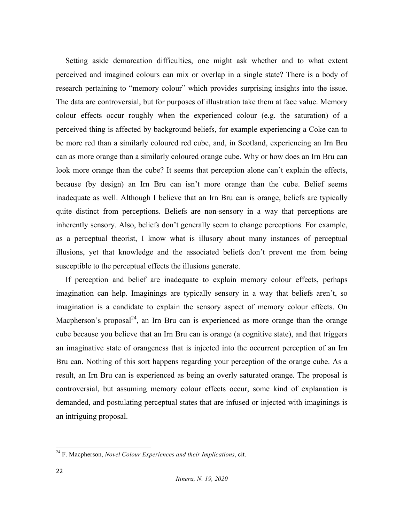Setting aside demarcation difficulties, one might ask whether and to what extent perceived and imagined colours can mix or overlap in a single state? There is a body of research pertaining to "memory colour" which provides surprising insights into the issue. The data are controversial, but for purposes of illustration take them at face value. Memory colour effects occur roughly when the experienced colour (e.g. the saturation) of a perceived thing is affected by background beliefs, for example experiencing a Coke can to be more red than a similarly coloured red cube, and, in Scotland, experiencing an Irn Bru can as more orange than a similarly coloured orange cube. Why or how does an Irn Bru can look more orange than the cube? It seems that perception alone can't explain the effects, because (by design) an Irn Bru can isn't more orange than the cube. Belief seems inadequate as well. Although I believe that an Irn Bru can is orange, beliefs are typically quite distinct from perceptions. Beliefs are non-sensory in a way that perceptions are inherently sensory. Also, beliefs don't generally seem to change perceptions. For example, as a perceptual theorist, I know what is illusory about many instances of perceptual illusions, yet that knowledge and the associated beliefs don't prevent me from being susceptible to the perceptual effects the illusions generate.

If perception and belief are inadequate to explain memory colour effects, perhaps imagination can help. Imaginings are typically sensory in a way that beliefs aren't, so imagination is a candidate to explain the sensory aspect of memory colour effects. On Macpherson's proposal<sup>24</sup>, an Irn Bru can is experienced as more orange than the orange cube because you believe that an Irn Bru can is orange (a cognitive state), and that triggers an imaginative state of orangeness that is injected into the occurrent perception of an Irn Bru can. Nothing of this sort happens regarding your perception of the orange cube. As a result, an Irn Bru can is experienced as being an overly saturated orange. The proposal is controversial, but assuming memory colour effects occur, some kind of explanation is demanded, and postulating perceptual states that are infused or injected with imaginings is an intriguing proposal.

 <sup>24</sup> F. Macpherson, *Novel Colour Experiences and their Implications*, cit.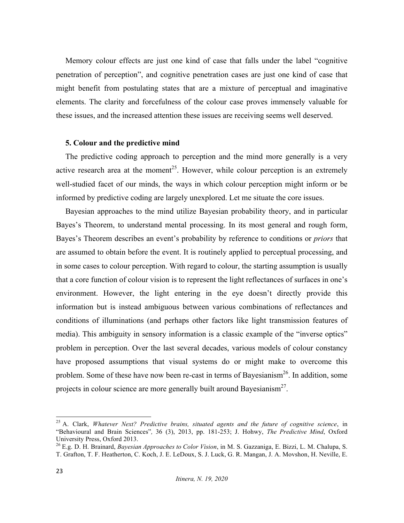Memory colour effects are just one kind of case that falls under the label "cognitive penetration of perception", and cognitive penetration cases are just one kind of case that might benefit from postulating states that are a mixture of perceptual and imaginative elements. The clarity and forcefulness of the colour case proves immensely valuable for these issues, and the increased attention these issues are receiving seems well deserved.

#### **5. Colour and the predictive mind**

The predictive coding approach to perception and the mind more generally is a very active research area at the moment<sup>25</sup>. However, while colour perception is an extremely well-studied facet of our minds, the ways in which colour perception might inform or be informed by predictive coding are largely unexplored. Let me situate the core issues.

Bayesian approaches to the mind utilize Bayesian probability theory, and in particular Bayes's Theorem, to understand mental processing. In its most general and rough form, Bayes's Theorem describes an event's probability by reference to conditions or *priors* that are assumed to obtain before the event. It is routinely applied to perceptual processing, and in some cases to colour perception. With regard to colour, the starting assumption is usually that a core function of colour vision is to represent the light reflectances of surfaces in one's environment. However, the light entering in the eye doesn't directly provide this information but is instead ambiguous between various combinations of reflectances and conditions of illuminations (and perhaps other factors like light transmission features of media). This ambiguity in sensory information is a classic example of the "inverse optics" problem in perception. Over the last several decades, various models of colour constancy have proposed assumptions that visual systems do or might make to overcome this problem. Some of these have now been re-cast in terms of Bayesianism<sup>26</sup>. In addition, some projects in colour science are more generally built around Bayesianism<sup>27</sup>.

 <sup>25</sup> A. Clark, *Whatever Next? Predictive brains, situated agents and the future of cognitive science*, in "Behavioural and Brain Sciences"*,* 36 (3), 2013, pp. 181-253; J. Hohwy, *The Predictive Mind*, Oxford University Press, Oxford 2013. <sup>26</sup> E.g. D. H. Brainard, *Bayesian Approaches to Color Vision*, in M. S. Gazzaniga, E. Bizzi, L. M. Chalupa, S.

T. Grafton, T. F. Heatherton, C. Koch, J. E. LeDoux, S. J. Luck, G. R. Mangan, J. A. Movshon, H. Neville, E.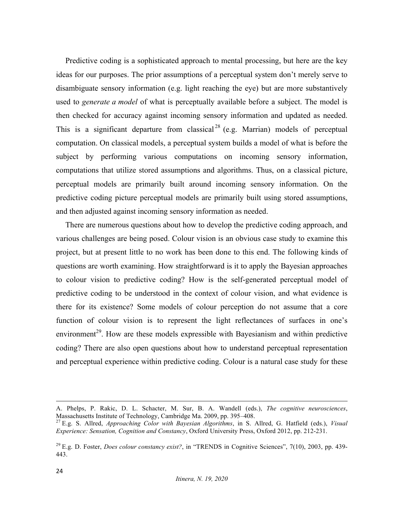Predictive coding is a sophisticated approach to mental processing, but here are the key ideas for our purposes. The prior assumptions of a perceptual system don't merely serve to disambiguate sensory information (e.g. light reaching the eye) but are more substantively used to *generate a model* of what is perceptually available before a subject. The model is then checked for accuracy against incoming sensory information and updated as needed. This is a significant departure from classical  $2^8$  (e.g. Marrian) models of perceptual computation. On classical models, a perceptual system builds a model of what is before the subject by performing various computations on incoming sensory information, computations that utilize stored assumptions and algorithms. Thus, on a classical picture, perceptual models are primarily built around incoming sensory information. On the predictive coding picture perceptual models are primarily built using stored assumptions, and then adjusted against incoming sensory information as needed.

There are numerous questions about how to develop the predictive coding approach, and various challenges are being posed. Colour vision is an obvious case study to examine this project, but at present little to no work has been done to this end. The following kinds of questions are worth examining. How straightforward is it to apply the Bayesian approaches to colour vision to predictive coding? How is the self-generated perceptual model of predictive coding to be understood in the context of colour vision, and what evidence is there for its existence? Some models of colour perception do not assume that a core function of colour vision is to represent the light reflectances of surfaces in one's environment<sup>29</sup>. How are these models expressible with Bayesianism and within predictive coding? There are also open questions about how to understand perceptual representation and perceptual experience within predictive coding. Colour is a natural case study for these

<sup>&</sup>lt;u> 1989 - Johann Stoff, fransk politik (f. 1989)</u> A. Phelps, P. Rakic, D. L. Schacter, M. Sur, B. A. Wandell (eds.), *The cognitive neurosciences*,

<sup>&</sup>lt;sup>27</sup> E.g. S. Allred, *Approaching Color with Bayesian Algorithms*, in S. Allred, G. Hatfield (eds.), *Visual Experience: Sensation, Cognition and Constancy*, Oxford University Press, Oxford 2012, pp. 212-231.

<sup>&</sup>lt;sup>29</sup> E.g. D. Foster, *Does colour constancy exist?*, in "TRENDS in Cognitive Sciences", 7(10), 2003, pp. 439-443.